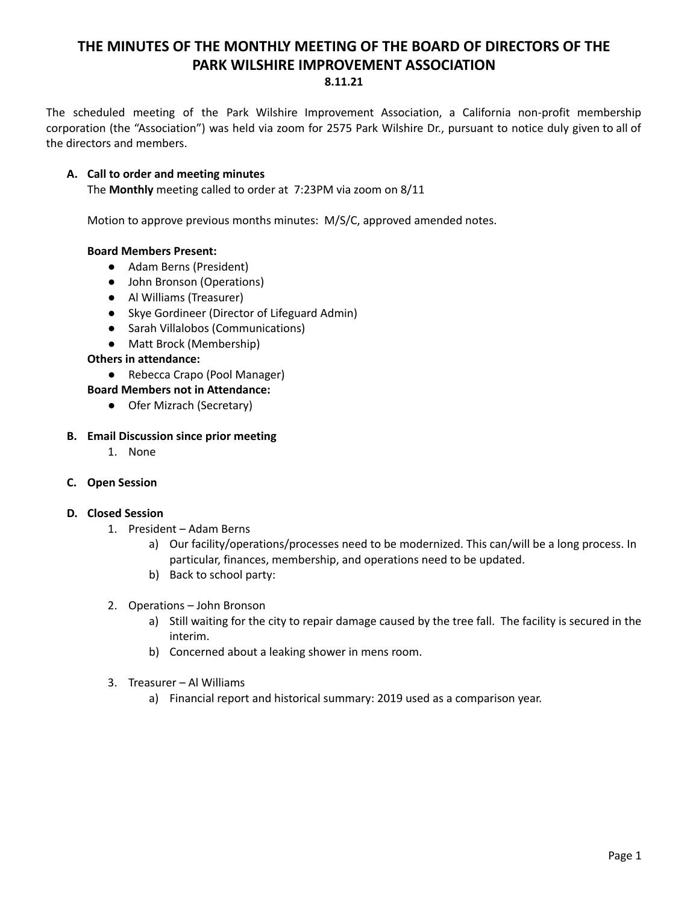# **THE MINUTES OF THE MONTHLY MEETING OF THE BOARD OF DIRECTORS OF THE PARK WILSHIRE IMPROVEMENT ASSOCIATION 8.11.21**

The scheduled meeting of the Park Wilshire Improvement Association, a California non-profit membership corporation (the "Association") was held via zoom for 2575 Park Wilshire Dr., pursuant to notice duly given to all of the directors and members.

## **A. Call to order and meeting minutes**

The **Monthly** meeting called to order at 7:23PM via zoom on 8/11

Motion to approve previous months minutes: M/S/C, approved amended notes.

## **Board Members Present:**

- Adam Berns (President)
- John Bronson (Operations)
- **●** Al Williams (Treasurer)
- Skye Gordineer (Director of Lifeguard Admin)
- Sarah Villalobos (Communications)
- Matt Brock (Membership)

## **Others in attendance:**

- Rebecca Crapo (Pool Manager)
- **Board Members not in Attendance:**
	- Ofer Mizrach (Secretary)

### **B. Email Discussion since prior meeting**

1. None

## **C. Open Session**

#### **D. Closed Session**

- 1. President Adam Berns
	- a) Our facility/operations/processes need to be modernized. This can/will be a long process. In particular, finances, membership, and operations need to be updated.
	- b) Back to school party:
- 2. Operations John Bronson
	- a) Still waiting for the city to repair damage caused by the tree fall. The facility is secured in the interim.
	- b) Concerned about a leaking shower in mens room.
- 3. Treasurer Al Williams
	- a) Financial report and historical summary: 2019 used as a comparison year.